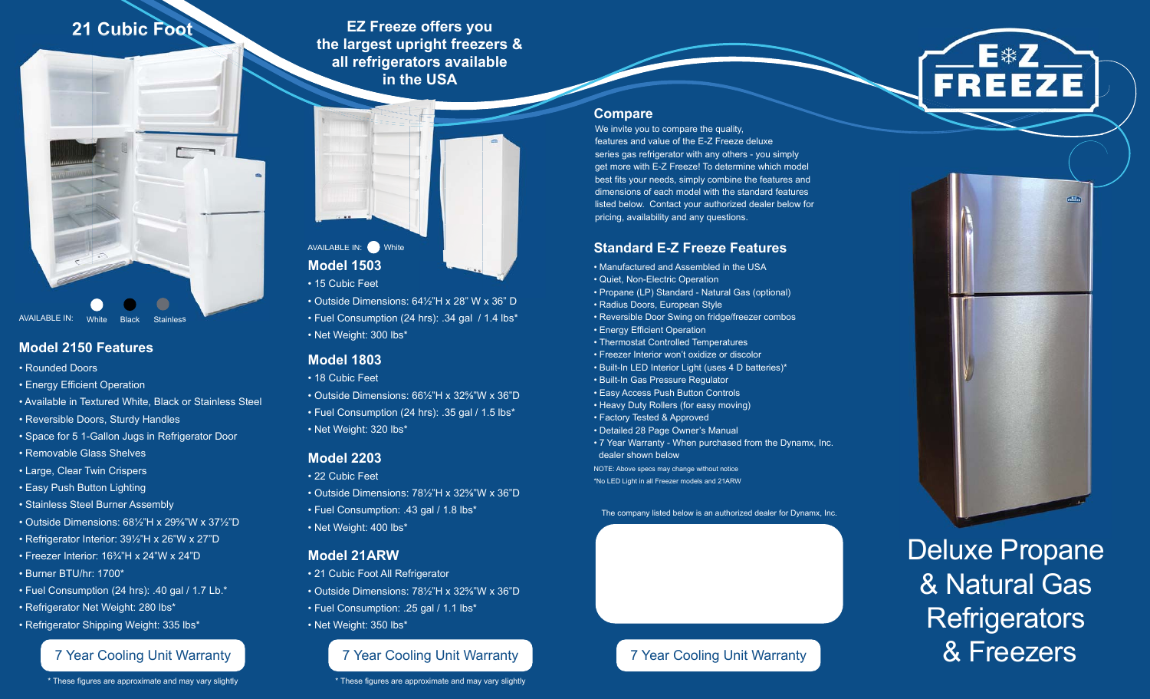**21 Cubic Foot**

**EZ Freeze offers you the largest upright freezers & all refrigerators available in the USAUS**all refrigerators<br>
in the US<br>
In the US<br>
In the US<br>
In the US<br>
In the US<br>
In the US<br>
Consumption (24 hrs):<br>
State Dimensions: 64½"<br>
Fuel Consumption (24 hrs):



### **Model 2150 Features**

- Rounded Doors
- Energy Efficient Operation
- Available in Textured White, Black or Stainless Steel
- Reversible Doors, Sturdy Handles
- Space for 5 1-Gallon Jugs in Refrigerator Door
- Removable Glass Shelves
- Large, Clear Twin Crispers
- Easy Push Button Lighting
- Stainless Steel Burner Assembly
- Outside Dimensions: 68½"H x 29%"W x 37½"D
- Refrigerator Interior: 391/2"H x 26"W x 27"D
- Freezer Interior: 16<sup>3</sup>/<sub>4</sub>"H x 24"W x 24"D • Burner BTU/hr: 1700\*
- Fuel Consumption (24 hrs): .40 gal / 1.7 Lb.\*
- Refrigerator Net Weight: 280 lbs\*
- Refrigerator Shipping Weight: 335 lbs\*

\* These figures are approximate and may vary slightly

# **Model 1503**AVAILABLE IN: White AVAILABLE

• 15 Cubic Feet

• Outside Dimensions: 64½"H x 28" W x 36" D • Fuel Consumption (24 hrs): .34 gal / 1.4 lbs\* • Net Weight: 300 lbs\*

### **Model 1803**

- 18 Cubic Feet
- Outside Dimensions: 66½"H x 32%"W x 36"D
- Fuel Consumption (24 hrs): .35 gal / 1.5 lbs\* • Net Weight: 320 lbs\*

#### **Model 2203**

• 22 Cubic Feet

- Outside Dimensions: 781/<sub>2</sub>"H x 32<sup>5</sup>/<sub>6</sub>"W x 36"D
- Fuel Consumption: .43 gal / 1.8 lbs\*
- Net Weight: 400 lbs\*

### **Model 21ARW**

• 21 Cubic Foot All Refrigerator • Outside Dimensions: 781/<sub>2</sub>"H x 32<sup>5</sup>/<sub>8</sub>"W x 36"D • Fuel Consumption: .25 gal / 1.1 lbs\*

• Net Weight: 350 lbs\*

### 7 Year Cooling Unit Warranty **7 Year Cooling Unit Warranty 7 Year Cooling Unit Warranty** 7 Year Cooling Unit Warranty

\* These figures are approximate and may vary slightly



#### **Compare**

We invite you to compare the quality, features and value of the E-Z Freeze deluxe series gas refrigerator with any others - you simply get more with E-Z Freeze! To determine which model best fits your needs, simply combine the features and dimensions of each model with the standard features listed below. Contact your authorized dealer below for pricing, availability and any questions.

## **Standard E-Z Freeze Features**

• Manufactured and Assembled in the USA • Quiet, Non-Electric Operation • Propane (LP) Standard - Natural Gas (optional) • Radius Doors, European Style • Reversible Door Swing on fridge/freezer combos • Energy Efficient Operation • Thermostat Controlled Temperatures • Freezer Interior won't oxidize or discolor• Built-In LED Interior Light (uses 4 D batteries)\* • Built-In Gas Pressure Regulator • Easy Access Push Button Controls • Heavy Duty Rollers (for easy moving) • Factory Tested & Approved • Detailed 28 Page Owner's Manual • 7 Year Warranty - When purchased from the Dynamx, Inc. dealer shown belowNOTE: Above specs may change without notice \*No LED Light in all Freezer models and 21ARW

The company listed below is an authorized dealer for Dynamx, Inc.





 $\frac{1}{\ln(1/\ln 1)}$ 

Deluxe Propane & Natural Gas **Refrigerators** & Freezers